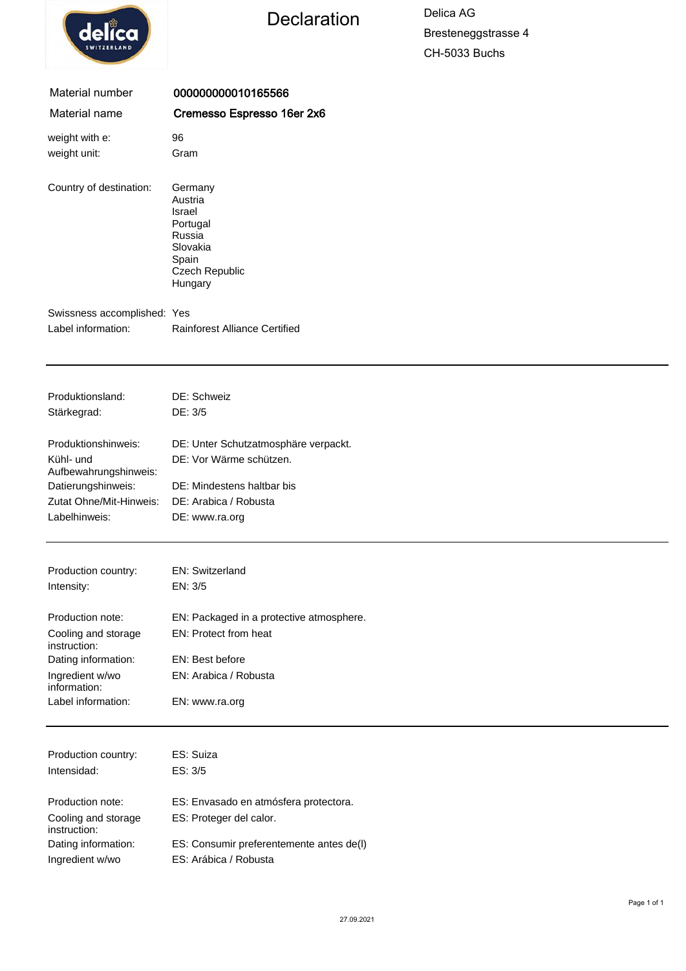|  | elica              |  |
|--|--------------------|--|
|  | <b>SWITZERLAND</b> |  |

# Declaration Delica AG

Bresteneggstrasse 4 CH-5033 Buchs

| Material number                  | 000000000010165566                                                                                   |
|----------------------------------|------------------------------------------------------------------------------------------------------|
| Material name                    | Cremesso Espresso 16er 2x6                                                                           |
| weight with e:                   | 96                                                                                                   |
| weight unit:                     | Gram                                                                                                 |
| Country of destination:          | Germany<br>Austria<br>Israel<br>Portugal<br>Russia<br>Slovakia<br>Spain<br>Czech Republic<br>Hungary |
| Swissness accomplished: Yes      |                                                                                                      |
| Label information:               | <b>Rainforest Alliance Certified</b>                                                                 |
|                                  |                                                                                                      |
|                                  |                                                                                                      |
| Produktionsland:                 | DE: Schweiz                                                                                          |
| Stärkegrad:                      | DE: 3/5                                                                                              |
|                                  |                                                                                                      |
| Produktionshinweis:<br>Kühl- und | DE: Unter Schutzatmosphäre verpackt.<br>DE: Vor Wärme schützen.                                      |
| Aufbewahrungshinweis:            |                                                                                                      |
| Datierungshinweis:               | DE: Mindestens haltbar bis                                                                           |
| Zutat Ohne/Mit-Hinweis:          | DE: Arabica / Robusta                                                                                |
| Labelhinweis:                    | DE: www.ra.org                                                                                       |
|                                  |                                                                                                      |
| Production country:              | EN: Switzerland                                                                                      |
| Intensity:                       | EN: 3/5                                                                                              |
| Production note:                 | EN: Packaged in a protective atmosphere.                                                             |
| Cooling and storage              | EN: Protect from heat                                                                                |
| instruction:                     |                                                                                                      |
| Dating information:              | EN: Best before                                                                                      |
| Ingredient w/wo<br>information:  | EN: Arabica / Robusta                                                                                |
| Label information:               | EN: www.ra.org                                                                                       |
|                                  |                                                                                                      |
| Production country:              | ES: Suiza                                                                                            |
| Intensidad:                      | ES: 3/5                                                                                              |
| Production note:                 |                                                                                                      |
| Cooling and storage              | ES: Envasado en atmósfera protectora.<br>ES: Proteger del calor.                                     |
| instruction:                     |                                                                                                      |

Dating information: ES: Consumir preferentemente antes de(l)

Ingredient w/wo ES: Arábica / Robusta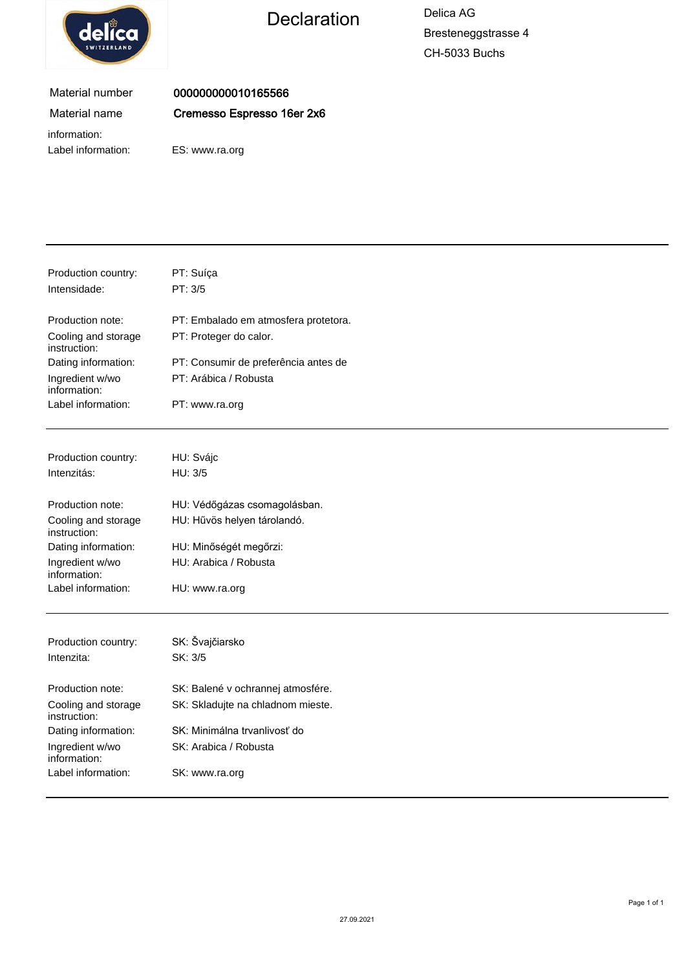

Declaration Delica AG

Bresteneggstrasse 4 CH-5033 Buchs

### Material number Material name

000000000010165566 Cremesso Espresso 16er 2x6

information: Label information: ES: www.ra.org

| Production country:<br>Intensidade: | PT: Suíça<br>PT: 3/5                 |
|-------------------------------------|--------------------------------------|
| Production note:                    | PT: Embalado em atmosfera protetora. |
| Cooling and storage<br>instruction: | PT: Proteger do calor.               |
| Dating information:                 | PT: Consumir de preferência antes de |
| Ingredient w/wo<br>information:     | PT: Arábica / Robusta                |
| Label information:                  | PT: www.ra.org                       |
| Production country:                 | HU: Svájc                            |
| Intenzitás:                         | HU: 3/5                              |
| Production note:                    | HU: Védőgázas csomagolásban.         |
| Cooling and storage<br>instruction: | HU: Hűvös helyen tárolandó.          |
| Dating information:                 | HU: Minőségét megőrzi:               |
| Ingredient w/wo<br>information:     | HU: Arabica / Robusta                |
| Label information:                  | HU: www.ra.org                       |
| Production country:                 | SK: Švajčiarsko                      |
| Intenzita:                          | SK: 3/5                              |
| Production note:                    | SK: Balené v ochrannej atmosfére.    |
| Cooling and storage<br>instruction: | SK: Skladujte na chladnom mieste.    |
| Dating information:                 | SK: Minimálna trvanlivosť do         |
| Ingredient w/wo<br>information:     | SK: Arabica / Robusta                |
| Label information:                  | SK: www.ra.org                       |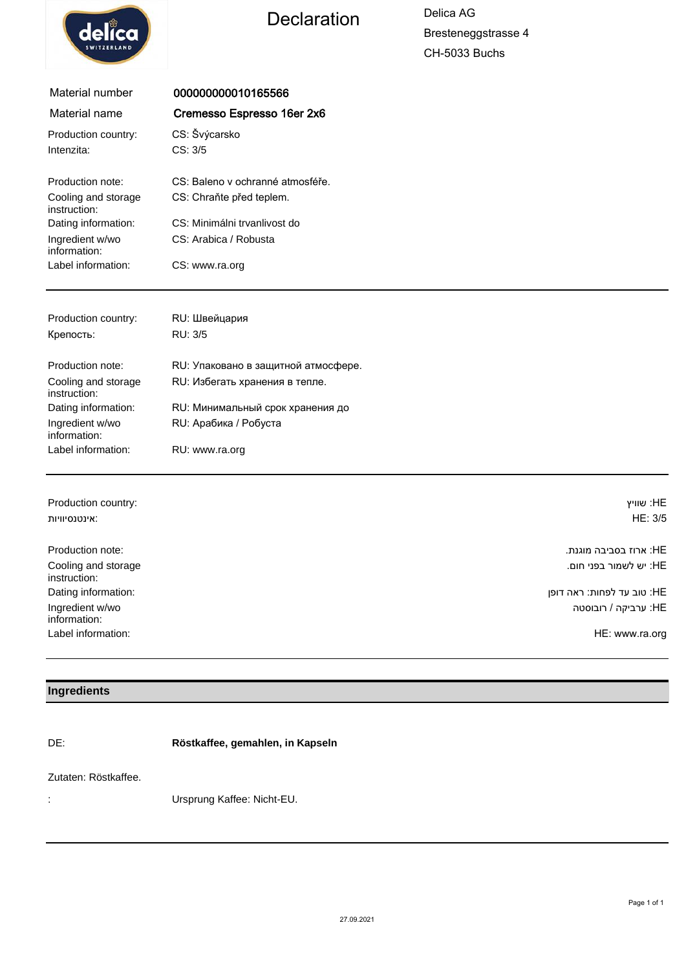

## Declaration Delica AG

Bresteneggstrasse 4 CH-5033 Buchs

| Material number                     | 000000000010165566                  |           |
|-------------------------------------|-------------------------------------|-----------|
| Material name                       |                                     |           |
| Production country:                 | CS: Švýcarsko                       |           |
| Intenzita:                          | CS: 3/5                             |           |
| Production note:                    | CS: Baleno y ochranné atmosféře.    |           |
| Cooling and storage<br>instruction: | CS: Chraňte před teplem.            |           |
| Dating information:                 | CS: Minimálni trvanlivost do        |           |
| Ingredient w/wo<br>information:     | CS: Arabica / Robusta               |           |
| Label information:                  | CS: www.ra.org                      |           |
|                                     |                                     |           |
| Production country:                 | RU: Швейцария                       |           |
| Крепость:                           | RU: 3/5                             |           |
| Production note:                    | RU: Упаковано в защитной атмосфере. |           |
| Cooling and storage<br>instruction: | RU: Избегать хранения в тепле.      |           |
| Dating information:                 | RU: Минимальный срок хранения до    |           |
| Ingredient w/wo<br>information:     | RU: Арабика / Робуста               |           |
| Label information:                  | RU: www.ra.org                      |           |
|                                     |                                     |           |
| Production country:                 |                                     | HE: שוויץ |

| אינטנסיוויות:                       | HE: 3/5                    |
|-------------------------------------|----------------------------|
| Production note:                    | :HE: ארוז בסביבה מוגנת     |
| Cooling and storage<br>instruction: | :HE יש לשמור בפני חום.     |
| Dating information:                 | HE: טוב עד לפחות: ראה דופן |
| Ingredient w/wo<br>information:     | :HE ערביקה / רובוסטה       |
| Label information:                  | HE: www.ra.org             |

#### **Ingredients**

DE: **Röstkaffee, gemahlen, in Kapseln**

#### Zutaten: Röstkaffee.

: Ursprung Kaffee: Nicht-EU.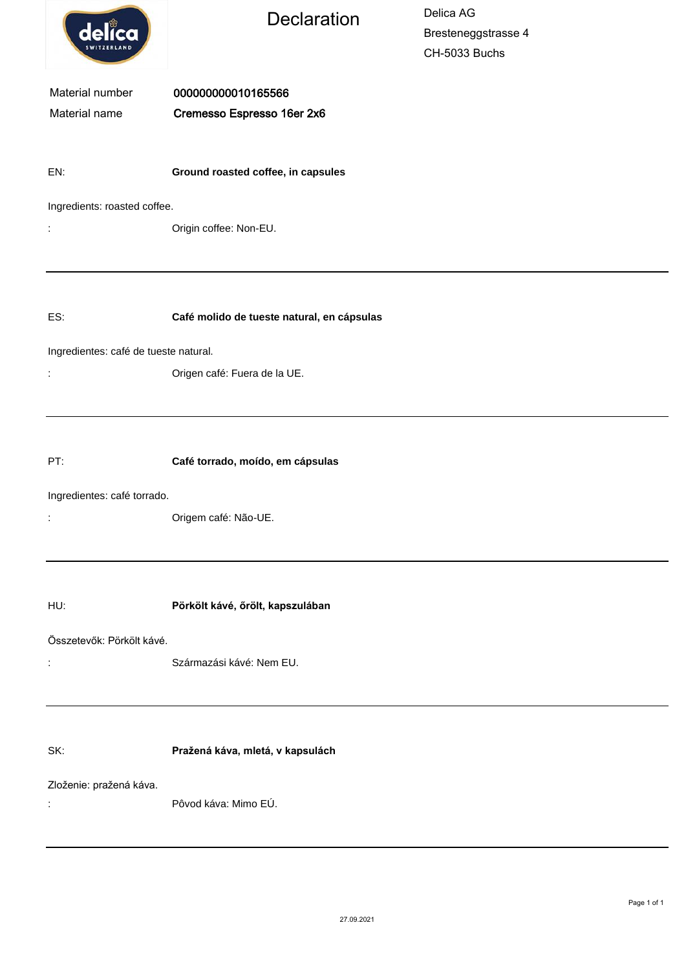| delica                                | <b>Declaration</b>                               | Delica AG<br>Bresteneggstrasse 4<br>CH-5033 Buchs |  |  |  |
|---------------------------------------|--------------------------------------------------|---------------------------------------------------|--|--|--|
| Material number<br>Material name      | 000000000010165566<br>Cremesso Espresso 16er 2x6 |                                                   |  |  |  |
| EN:                                   | Ground roasted coffee, in capsules               |                                                   |  |  |  |
|                                       | Ingredients: roasted coffee.                     |                                                   |  |  |  |
| ÷                                     | Origin coffee: Non-EU.                           |                                                   |  |  |  |
| ES:                                   | Café molido de tueste natural, en cápsulas       |                                                   |  |  |  |
| Ingredientes: café de tueste natural. |                                                  |                                                   |  |  |  |
| t,                                    | Origen café: Fuera de la UE.                     |                                                   |  |  |  |
| PT:                                   | Café torrado, moído, em cápsulas                 |                                                   |  |  |  |
| Ingredientes: café torrado.           | Origem café: Não-UE.                             |                                                   |  |  |  |
| HU:                                   | Pörkölt kávé, őrölt, kapszulában                 |                                                   |  |  |  |
| Összetevők: Pörkölt kávé.<br>t,       | Származási kávé: Nem EU.                         |                                                   |  |  |  |
| SK:                                   | Pražená káva, mletá, v kapsulách                 |                                                   |  |  |  |
| Zloženie: pražená káva.<br>t,         | Pôvod káva: Mimo EÚ.                             |                                                   |  |  |  |